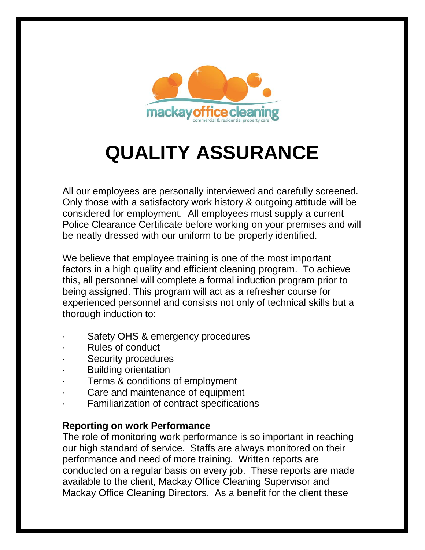

## **QUALITY ASSURANCE**

All our employees are personally interviewed and carefully screened. Only those with a satisfactory work history & outgoing attitude will be considered for employment. All employees must supply a current Police Clearance Certificate before working on your premises and will be neatly dressed with our uniform to be properly identified.

We believe that employee training is one of the most important factors in a high quality and efficient cleaning program. To achieve this, all personnel will complete a formal induction program prior to being assigned. This program will act as a refresher course for experienced personnel and consists not only of technical skills but a thorough induction to:

- Safety OHS & emergency procedures
- Rules of conduct
- Security procedures
- · Building orientation
- Terms & conditions of employment
- Care and maintenance of equipment
- Familiarization of contract specifications

## **Reporting on work Performance**

The role of monitoring work performance is so important in reaching our high standard of service. Staffs are always monitored on their performance and need of more training. Written reports are conducted on a regular basis on every job. These reports are made available to the client, Mackay Office Cleaning Supervisor and Mackay Office Cleaning Directors. As a benefit for the client these